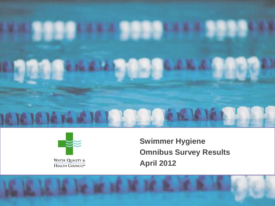



**Swimmer Hygiene Omnibus Survey Results April 2012**

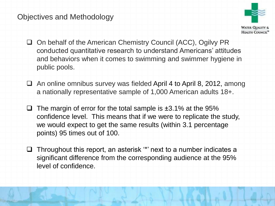#### Objectives and Methodology



- □ On behalf of the American Chemistry Council (ACC), Ogilvy PR conducted quantitative research to understand Americans' attitudes and behaviors when it comes to swimming and swimmer hygiene in public pools.
- $\Box$  An online omnibus survey was fielded April 4 to April 8, 2012, among a nationally representative sample of 1,000 American adults 18+.
- $\Box$  The margin of error for the total sample is  $\pm 3.1\%$  at the 95% confidence level. This means that if we were to replicate the study, we would expect to get the same results (within 3.1 percentage points) 95 times out of 100.
- $\Box$  Throughout this report, an asterisk "' next to a number indicates a significant difference from the corresponding audience at the 95% level of confidence.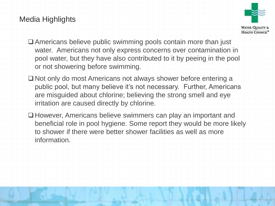#### Media Highlights



- Americans believe public swimming pools contain more than just water. Americans not only express concerns over contamination in pool water, but they have also contributed to it by peeing in the pool or not showering before swimming.
- □ Not only do most Americans not always shower before entering a public pool, but many believe it's not necessary. Further, Americans are misguided about chlorine; believing the strong smell and eye irritation are caused directly by chlorine.
- □ However, Americans believe swimmers can play an important and beneficial role in pool hygiene. Some report they would be more likely to shower if there were better shower facilities as well as more information.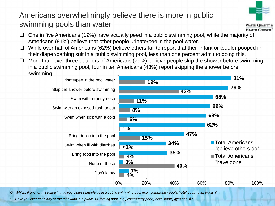# Americans overwhelmingly believe there is more in public swimming pools than water



**WATER QUALITY &** HEALTH COUNCIL<sup>®</sup>

- $\Box$  One in five Americans (19%) have actually peed in a public swimming pool, while the majority of Americans (81%) believe that other people urinate/pee in the pool water.
- $\Box$  While over half of Americans (62%) believe others fail to report that their infant or toddler pooped in their diaper/bathing suit in a public swimming pool, less than one percent admit to doing this.
- $\Box$  More than over three-quarters of Americans (79%) believe people skip the shower before swimming in a public swimming pool, four in ten Americans (43%) report skipping the shower before swimming.



*Q: Which, if any, of the following do you believe people do in a public swimming pool (e.g., community pools, hotel pools, gym pools)?* 

*Q: Have you ever done any of the following in a public swimming pool (e.g., community pools, hotel pools, gym pools)?*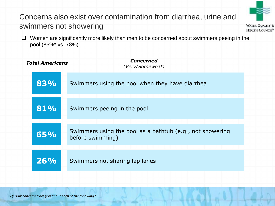## Concerns also exist over contamination from diarrhea, urine and swimmers not showering



**WATER QUALITY &** HEALTH COUNCIL<sup>®</sup>

□ Women are significantly more likely than men to be concerned about swimmers peeing in the pool (85%\* vs. 78%).

| <b>Total Americans</b> | <b>Concerned</b><br>(Very/Somewhat)                                           |
|------------------------|-------------------------------------------------------------------------------|
| 83%                    | Swimmers using the pool when they have diarrhea                               |
| 81%                    | Swimmers peeing in the pool                                                   |
| 65%                    | Swimmers using the pool as a bathtub (e.g., not showering<br>before swimming) |
| 26%                    | Swimmers not sharing lap lanes                                                |
|                        |                                                                               |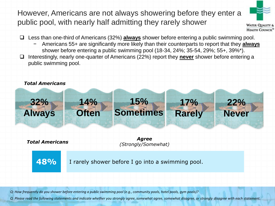However, Americans are not always showering before they enter a public pool, with nearly half admitting they rarely shower



**WATER QUALITY &** HEALTH COUNCIL<sup>®</sup>

- Less than one-third of Americans (32%) **always** shower before entering a public swimming pool.
	- − Americans 55+ are significantly more likely than their counterparts to report that they **always** shower before entering a public swimming pool (18-34, 24%; 35-54, 29%; 55+, 39%\*).
- Interestingly, nearly one-quarter of Americans (22%) report they **never** shower before entering a public swimming pool.



*Q: How frequently do you shower before entering a public swimming pool (e.g., community pools, hotel pools, gym pools)?*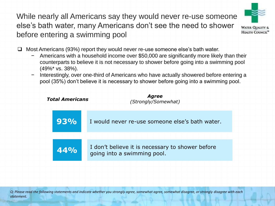While nearly all Americans say they would never re-use someone else's bath water, many Americans don't see the need to shower before entering a swimming pool



 $\Box$  Most Americans (93%) report they would never re-use someone else's bath water.

- − Americans with a household income over \$50,000 are significantly more likely than their counterparts to believe it is not necessary to shower before going into a swimming pool (49%\* vs. 38%).
- Interestingly, over one-third of Americans who have actually showered before entering a pool (35%) don't believe it is necessary to shower before going into a swimming pool.

| <b>Total Americans</b> |  | <b>Agree</b><br>(Strongly/Somewhat)                                             |
|------------------------|--|---------------------------------------------------------------------------------|
| $93\%$                 |  | I would never re-use someone else's bath water.                                 |
| 44%                    |  | I don't believe it is necessary to shower before<br>going into a swimming pool. |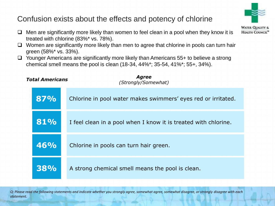### Confusion exists about the effects and potency of chlorine

- $\Box$  Men are significantly more likely than women to feel clean in a pool when they know it is treated with chlorine (83%\* vs. 78%).
- $\Box$  Women are significantly more likely than men to agree that chlorine in pools can turn hair green (58%\* vs. 33%).
- $\Box$  Younger Americans are significantly more likely than Americans 55+ to believe a strong chemical smell means the pool is clean (18-34, 44%\*; 35-54, 41%\*; 55+, 34%).

| <b>Total Americans</b> |            | <b>Agree</b><br>(Strongly/Somewhat)                             |
|------------------------|------------|-----------------------------------------------------------------|
|                        | 87%        | Chlorine in pool water makes swimmers' eyes red or irritated.   |
|                        | 81%        | I feel clean in a pool when I know it is treated with chlorine. |
|                        | 46%        | Chlorine in pools can turn hair green.                          |
|                        | <b>38%</b> | A strong chemical smell means the pool is clean.                |

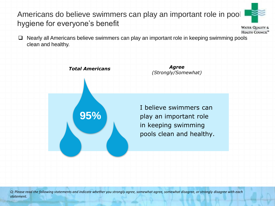## Americans do believe swimmers can play an important role in pool hygiene for everyone's benefit



**WATER QUALITY &** HEALTH COUNCIL<sup>®</sup>

 $\Box$  Nearly all Americans believe swimmers can play an important role in keeping swimming pools clean and healthy.